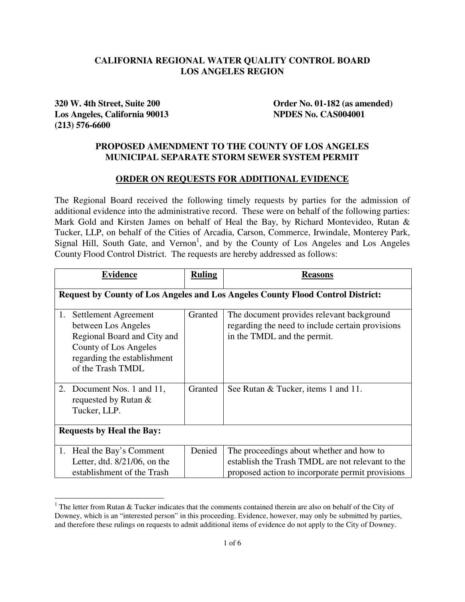## **CALIFORNIA REGIONAL WATER QUALITY CONTROL BOARD LOS ANGELES REGION**

**Los Angeles, California 90013 NPDES No. CAS004001 (213) 576-6600** 

 $\overline{a}$ 

**320 W. 4th Street, Suite 200 Order No. 01-182 (as amended)** 

## **PROPOSED AMENDMENT TO THE COUNTY OF LOS ANGELES MUNICIPAL SEPARATE STORM SEWER SYSTEM PERMIT**

## **ORDER ON REQUESTS FOR ADDITIONAL EVIDENCE**

The Regional Board received the following timely requests by parties for the admission of additional evidence into the administrative record. These were on behalf of the following parties: Mark Gold and Kirsten James on behalf of Heal the Bay, by Richard Montevideo, Rutan & Tucker, LLP, on behalf of the Cities of Arcadia, Carson, Commerce, Irwindale, Monterey Park, Signal Hill, South Gate, and Vernon<sup>1</sup>, and by the County of Los Angeles and Los Angeles County Flood Control District. The requests are hereby addressed as follows:

|                                  | <b>Evidence</b>                                                                                                                                         | <b>Ruling</b> | <b>Reasons</b>                                                                                                                                   |  |
|----------------------------------|---------------------------------------------------------------------------------------------------------------------------------------------------------|---------------|--------------------------------------------------------------------------------------------------------------------------------------------------|--|
|                                  | Request by County of Los Angeles and Los Angeles County Flood Control District:                                                                         |               |                                                                                                                                                  |  |
| 1.                               | Settlement Agreement<br>between Los Angeles<br>Regional Board and City and<br>County of Los Angeles<br>regarding the establishment<br>of the Trash TMDL | Granted       | The document provides relevant background<br>regarding the need to include certain provisions<br>in the TMDL and the permit.                     |  |
| 2.                               | Document Nos. 1 and 11,<br>requested by Rutan &<br>Tucker, LLP.                                                                                         | Granted       | See Rutan & Tucker, items 1 and 11.                                                                                                              |  |
| <b>Requests by Heal the Bay:</b> |                                                                                                                                                         |               |                                                                                                                                                  |  |
| 1.                               | Heal the Bay's Comment<br>Letter, dtd. $8/21/06$ , on the<br>establishment of the Trash                                                                 | Denied        | The proceedings about whether and how to<br>establish the Trash TMDL are not relevant to the<br>proposed action to incorporate permit provisions |  |

<sup>&</sup>lt;sup>1</sup> The letter from Rutan & Tucker indicates that the comments contained therein are also on behalf of the City of Downey, which is an "interested person" in this proceeding. Evidence, however, may only be submitted by parties, and therefore these rulings on requests to admit additional items of evidence do not apply to the City of Downey.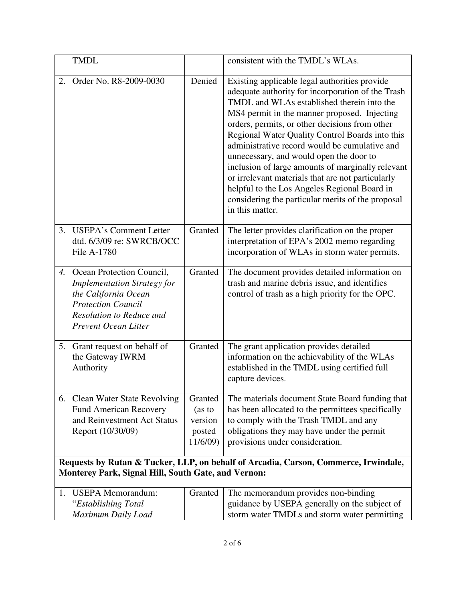|                                                                                                                                                   | <b>TMDL</b>                                                                                                                                                                        |                                                    | consistent with the TMDL's WLAs.                                                                                                                                                                                                                                                                                                                                                                                                                                                                                                                                                                                                    |  |
|---------------------------------------------------------------------------------------------------------------------------------------------------|------------------------------------------------------------------------------------------------------------------------------------------------------------------------------------|----------------------------------------------------|-------------------------------------------------------------------------------------------------------------------------------------------------------------------------------------------------------------------------------------------------------------------------------------------------------------------------------------------------------------------------------------------------------------------------------------------------------------------------------------------------------------------------------------------------------------------------------------------------------------------------------------|--|
| 2.                                                                                                                                                | Order No. R8-2009-0030                                                                                                                                                             | Denied                                             | Existing applicable legal authorities provide<br>adequate authority for incorporation of the Trash<br>TMDL and WLAs established therein into the<br>MS4 permit in the manner proposed. Injecting<br>orders, permits, or other decisions from other<br>Regional Water Quality Control Boards into this<br>administrative record would be cumulative and<br>unnecessary, and would open the door to<br>inclusion of large amounts of marginally relevant<br>or irrelevant materials that are not particularly<br>helpful to the Los Angeles Regional Board in<br>considering the particular merits of the proposal<br>in this matter. |  |
| $\mathfrak{Z}$ .                                                                                                                                  | <b>USEPA's Comment Letter</b><br>dtd. 6/3/09 re: SWRCB/OCC<br>File A-1780                                                                                                          | Granted                                            | The letter provides clarification on the proper<br>interpretation of EPA's 2002 memo regarding<br>incorporation of WLAs in storm water permits.                                                                                                                                                                                                                                                                                                                                                                                                                                                                                     |  |
|                                                                                                                                                   | 4. Ocean Protection Council,<br><b>Implementation Strategy for</b><br>the California Ocean<br><b>Protection Council</b><br>Resolution to Reduce and<br><b>Prevent Ocean Litter</b> | Granted                                            | The document provides detailed information on<br>trash and marine debris issue, and identifies<br>control of trash as a high priority for the OPC.                                                                                                                                                                                                                                                                                                                                                                                                                                                                                  |  |
| 5.                                                                                                                                                | Grant request on behalf of<br>the Gateway IWRM<br>Authority                                                                                                                        | Granted                                            | The grant application provides detailed<br>information on the achievability of the WLAs<br>established in the TMDL using certified full<br>capture devices.                                                                                                                                                                                                                                                                                                                                                                                                                                                                         |  |
|                                                                                                                                                   | 6. Clean Water State Revolving<br><b>Fund American Recovery</b><br>and Reinvestment Act Status<br>Report (10/30/09)                                                                | Granted<br>(as to<br>version<br>posted<br>11/6/09) | The materials document State Board funding that<br>has been allocated to the permittees specifically<br>to comply with the Trash TMDL and any<br>obligations they may have under the permit<br>provisions under consideration.                                                                                                                                                                                                                                                                                                                                                                                                      |  |
| Requests by Rutan & Tucker, LLP, on behalf of Arcadia, Carson, Commerce, Irwindale,<br><b>Monterey Park, Signal Hill, South Gate, and Vernon:</b> |                                                                                                                                                                                    |                                                    |                                                                                                                                                                                                                                                                                                                                                                                                                                                                                                                                                                                                                                     |  |
|                                                                                                                                                   |                                                                                                                                                                                    |                                                    |                                                                                                                                                                                                                                                                                                                                                                                                                                                                                                                                                                                                                                     |  |
|                                                                                                                                                   | 1. USEPA Memorandum:<br>"Establishing Total<br>Maximum Daily Load                                                                                                                  | Granted                                            | The memorandum provides non-binding<br>guidance by USEPA generally on the subject of<br>storm water TMDLs and storm water permitting                                                                                                                                                                                                                                                                                                                                                                                                                                                                                                |  |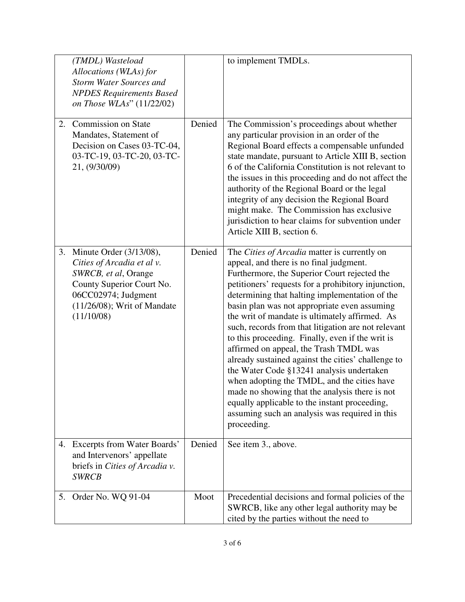|    | (TMDL) Wasteload<br>Allocations (WLAs) for<br><b>Storm Water Sources and</b><br><b>NPDES Requirements Based</b><br>on Those WLAs" (11/22/02)                                         |        | to implement TMDLs.                                                                                                                                                                                                                                                                                                                                                                                                                                                                                                                                                                                                                                                                                                                                                                                                           |
|----|--------------------------------------------------------------------------------------------------------------------------------------------------------------------------------------|--------|-------------------------------------------------------------------------------------------------------------------------------------------------------------------------------------------------------------------------------------------------------------------------------------------------------------------------------------------------------------------------------------------------------------------------------------------------------------------------------------------------------------------------------------------------------------------------------------------------------------------------------------------------------------------------------------------------------------------------------------------------------------------------------------------------------------------------------|
| 2. | Commission on State<br>Mandates, Statement of<br>Decision on Cases 03-TC-04,<br>03-TC-19, 03-TC-20, 03-TC-<br>21, (9/30/09)                                                          | Denied | The Commission's proceedings about whether<br>any particular provision in an order of the<br>Regional Board effects a compensable unfunded<br>state mandate, pursuant to Article XIII B, section<br>6 of the California Constitution is not relevant to<br>the issues in this proceeding and do not affect the<br>authority of the Regional Board or the legal<br>integrity of any decision the Regional Board<br>might make. The Commission has exclusive<br>jurisdiction to hear claims for subvention under<br>Article XIII B, section 6.                                                                                                                                                                                                                                                                                  |
|    | 3. Minute Order (3/13/08),<br>Cities of Arcadia et al v.<br>SWRCB, et al, Orange<br>County Superior Court No.<br>06CC02974; Judgment<br>$(11/26/08)$ ; Writ of Mandate<br>(11/10/08) | Denied | The Cities of Arcadia matter is currently on<br>appeal, and there is no final judgment.<br>Furthermore, the Superior Court rejected the<br>petitioners' requests for a prohibitory injunction,<br>determining that halting implementation of the<br>basin plan was not appropriate even assuming<br>the writ of mandate is ultimately affirmed. As<br>such, records from that litigation are not relevant<br>to this proceeding. Finally, even if the writ is<br>affirmed on appeal, the Trash TMDL was<br>already sustained against the cities' challenge to<br>the Water Code §13241 analysis undertaken<br>when adopting the TMDL, and the cities have<br>made no showing that the analysis there is not<br>equally applicable to the instant proceeding,<br>assuming such an analysis was required in this<br>proceeding. |
| 4. | Excerpts from Water Boards'<br>and Intervenors' appellate<br>briefs in Cities of Arcadia v.<br><b>SWRCB</b>                                                                          | Denied | See item 3., above.                                                                                                                                                                                                                                                                                                                                                                                                                                                                                                                                                                                                                                                                                                                                                                                                           |
| 5. | Order No. WQ 91-04                                                                                                                                                                   | Moot   | Precedential decisions and formal policies of the<br>SWRCB, like any other legal authority may be<br>cited by the parties without the need to                                                                                                                                                                                                                                                                                                                                                                                                                                                                                                                                                                                                                                                                                 |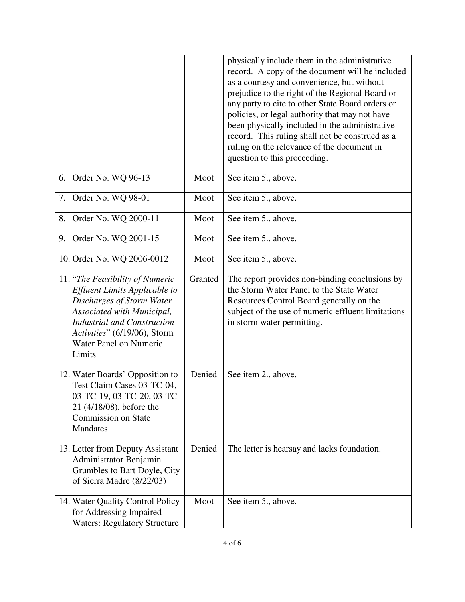|                                                                                                                                                                                                                                                     |         | physically include them in the administrative<br>record. A copy of the document will be included<br>as a courtesy and convenience, but without<br>prejudice to the right of the Regional Board or<br>any party to cite to other State Board orders or<br>policies, or legal authority that may not have<br>been physically included in the administrative<br>record. This ruling shall not be construed as a<br>ruling on the relevance of the document in<br>question to this proceeding. |
|-----------------------------------------------------------------------------------------------------------------------------------------------------------------------------------------------------------------------------------------------------|---------|--------------------------------------------------------------------------------------------------------------------------------------------------------------------------------------------------------------------------------------------------------------------------------------------------------------------------------------------------------------------------------------------------------------------------------------------------------------------------------------------|
| 6. Order No. WQ 96-13                                                                                                                                                                                                                               | Moot    | See item 5., above.                                                                                                                                                                                                                                                                                                                                                                                                                                                                        |
| 7. Order No. WQ 98-01                                                                                                                                                                                                                               | Moot    | See item 5., above.                                                                                                                                                                                                                                                                                                                                                                                                                                                                        |
| 8. Order No. WQ 2000-11                                                                                                                                                                                                                             | Moot    | See item 5., above.                                                                                                                                                                                                                                                                                                                                                                                                                                                                        |
| 9. Order No. WQ 2001-15                                                                                                                                                                                                                             | Moot    | See item 5., above.                                                                                                                                                                                                                                                                                                                                                                                                                                                                        |
| 10. Order No. WQ 2006-0012                                                                                                                                                                                                                          | Moot    | See item 5., above.                                                                                                                                                                                                                                                                                                                                                                                                                                                                        |
| 11. "The Feasibility of Numeric<br><b>Effluent Limits Applicable to</b><br>Discharges of Storm Water<br>Associated with Municipal,<br><b>Industrial and Construction</b><br>Activities" (6/19/06), Storm<br><b>Water Panel on Numeric</b><br>Limits | Granted | The report provides non-binding conclusions by<br>the Storm Water Panel to the State Water<br>Resources Control Board generally on the<br>subject of the use of numeric effluent limitations<br>in storm water permitting.                                                                                                                                                                                                                                                                 |
| 12. Water Boards' Opposition to<br>Test Claim Cases 03-TC-04,<br>03-TC-19, 03-TC-20, 03-TC-<br>21 (4/18/08), before the<br><b>Commission on State</b><br><b>Mandates</b>                                                                            | Denied  | See item 2., above.                                                                                                                                                                                                                                                                                                                                                                                                                                                                        |
| 13. Letter from Deputy Assistant<br>Administrator Benjamin<br>Grumbles to Bart Doyle, City<br>of Sierra Madre (8/22/03)                                                                                                                             | Denied  | The letter is hearsay and lacks foundation.                                                                                                                                                                                                                                                                                                                                                                                                                                                |
| 14. Water Quality Control Policy<br>for Addressing Impaired<br><b>Waters: Regulatory Structure</b>                                                                                                                                                  | Moot    | See item 5., above.                                                                                                                                                                                                                                                                                                                                                                                                                                                                        |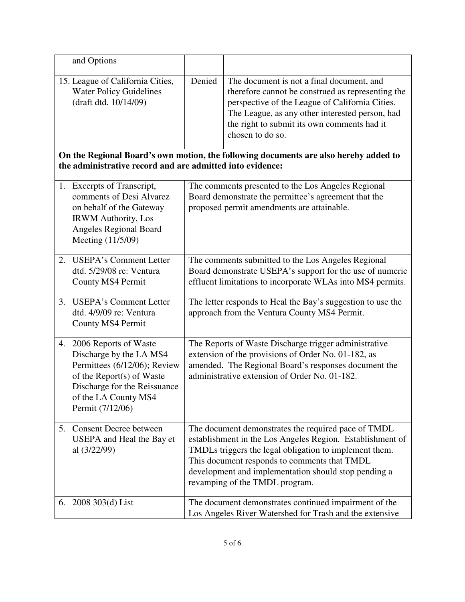|    | and Options                                                                                                                                                                               |                                                                                                                                                                                                                       |                                                                                                                                                                                                                                                                                                                      |  |
|----|-------------------------------------------------------------------------------------------------------------------------------------------------------------------------------------------|-----------------------------------------------------------------------------------------------------------------------------------------------------------------------------------------------------------------------|----------------------------------------------------------------------------------------------------------------------------------------------------------------------------------------------------------------------------------------------------------------------------------------------------------------------|--|
|    | 15. League of California Cities,<br><b>Water Policy Guidelines</b><br>(draft dtd. 10/14/09)                                                                                               | Denied                                                                                                                                                                                                                | The document is not a final document, and<br>therefore cannot be construed as representing the<br>perspective of the League of California Cities.<br>The League, as any other interested person, had<br>the right to submit its own comments had it<br>chosen to do so.                                              |  |
|    | On the Regional Board's own motion, the following documents are also hereby added to<br>the administrative record and are admitted into evidence:                                         |                                                                                                                                                                                                                       |                                                                                                                                                                                                                                                                                                                      |  |
| 1. | Excerpts of Transcript,<br>comments of Desi Alvarez<br>on behalf of the Gateway<br><b>IRWM</b> Authority, Los<br><b>Angeles Regional Board</b><br>Meeting (11/5/09)                       |                                                                                                                                                                                                                       | The comments presented to the Los Angeles Regional<br>Board demonstrate the permittee's agreement that the<br>proposed permit amendments are attainable.                                                                                                                                                             |  |
| 2. | <b>USEPA's Comment Letter</b><br>dtd. 5/29/08 re: Ventura<br>County MS4 Permit                                                                                                            | The comments submitted to the Los Angeles Regional<br>Board demonstrate USEPA's support for the use of numeric<br>effluent limitations to incorporate WLAs into MS4 permits.                                          |                                                                                                                                                                                                                                                                                                                      |  |
| 3. | <b>USEPA's Comment Letter</b><br>dtd. 4/9/09 re: Ventura<br>County MS4 Permit                                                                                                             | The letter responds to Heal the Bay's suggestion to use the<br>approach from the Ventura County MS4 Permit.                                                                                                           |                                                                                                                                                                                                                                                                                                                      |  |
| 4. | 2006 Reports of Waste<br>Discharge by the LA MS4<br>Permittees (6/12/06); Review<br>of the Report(s) of Waste<br>Discharge for the Reissuance<br>of the LA County MS4<br>Permit (7/12/06) | The Reports of Waste Discharge trigger administrative<br>extension of the provisions of Order No. 01-182, as<br>amended. The Regional Board's responses document the<br>administrative extension of Order No. 01-182. |                                                                                                                                                                                                                                                                                                                      |  |
| 5. | <b>Consent Decree between</b><br>USEPA and Heal the Bay et<br>al $(3/22/99)$                                                                                                              |                                                                                                                                                                                                                       | The document demonstrates the required pace of TMDL<br>establishment in the Los Angeles Region. Establishment of<br>TMDLs triggers the legal obligation to implement them.<br>This document responds to comments that TMDL<br>development and implementation should stop pending a<br>revamping of the TMDL program. |  |
|    | 6. $2008303(d)$ List                                                                                                                                                                      |                                                                                                                                                                                                                       | The document demonstrates continued impairment of the<br>Los Angeles River Watershed for Trash and the extensive                                                                                                                                                                                                     |  |